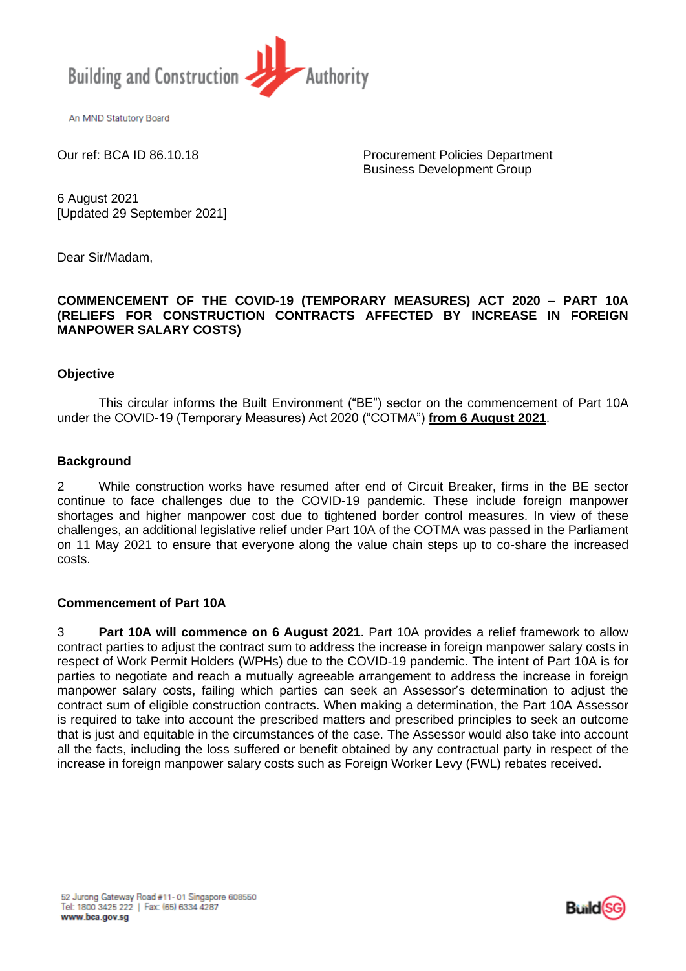

An MND Statutory Board

Our ref: BCA ID 86.10.18 Procurement Policies Department Business Development Group

6 August 2021 [Updated 29 September 2021]

Dear Sir/Madam,

### **COMMENCEMENT OF THE COVID-19 (TEMPORARY MEASURES) ACT 2020 – PART 10A (RELIEFS FOR CONSTRUCTION CONTRACTS AFFECTED BY INCREASE IN FOREIGN MANPOWER SALARY COSTS)**

### **Objective**

This circular informs the Built Environment ("BE") sector on the commencement of Part 10A under the COVID-19 (Temporary Measures) Act 2020 ("COTMA") **from 6 August 2021**.

### **Background**

2 While construction works have resumed after end of Circuit Breaker, firms in the BE sector continue to face challenges due to the COVID-19 pandemic. These include foreign manpower shortages and higher manpower cost due to tightened border control measures. In view of these challenges, an additional legislative relief under Part 10A of the COTMA was passed in the Parliament on 11 May 2021 to ensure that everyone along the value chain steps up to co-share the increased costs.

#### **Commencement of Part 10A**

3 **Part 10A will commence on 6 August 2021**. Part 10A provides a relief framework to allow contract parties to adjust the contract sum to address the increase in foreign manpower salary costs in respect of Work Permit Holders (WPHs) due to the COVID-19 pandemic. The intent of Part 10A is for parties to negotiate and reach a mutually agreeable arrangement to address the increase in foreign manpower salary costs, failing which parties can seek an Assessor's determination to adjust the contract sum of eligible construction contracts. When making a determination, the Part 10A Assessor is required to take into account the prescribed matters and prescribed principles to seek an outcome that is just and equitable in the circumstances of the case. The Assessor would also take into account all the facts, including the loss suffered or benefit obtained by any contractual party in respect of the increase in foreign manpower salary costs such as Foreign Worker Levy (FWL) rebates received.

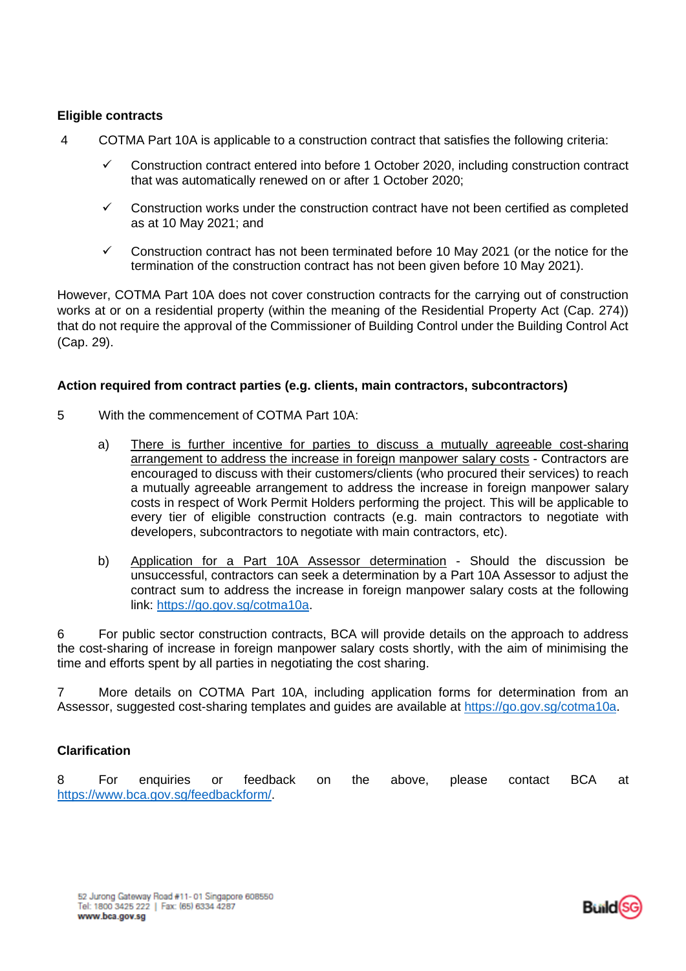# **Eligible contracts**

- 4 COTMA Part 10A is applicable to a construction contract that satisfies the following criteria:
	- ✓ Construction contract entered into before 1 October 2020, including construction contract that was automatically renewed on or after 1 October 2020;
	- $\checkmark$  Construction works under the construction contract have not been certified as completed as at 10 May 2021; and
	- $\checkmark$  Construction contract has not been terminated before 10 May 2021 (or the notice for the termination of the construction contract has not been given before 10 May 2021).

However, COTMA Part 10A does not cover construction contracts for the carrying out of construction works at or on a residential property (within the meaning of the Residential Property Act (Cap. 274)) that do not require the approval of the Commissioner of Building Control under the Building Control Act (Cap. 29).

# **Action required from contract parties (e.g. clients, main contractors, subcontractors)**

- 5 With the commencement of COTMA Part 10A:
	- a) There is further incentive for parties to discuss a mutually agreeable cost-sharing arrangement to address the increase in foreign manpower salary costs - Contractors are encouraged to discuss with their customers/clients (who procured their services) to reach a mutually agreeable arrangement to address the increase in foreign manpower salary costs in respect of Work Permit Holders performing the project. This will be applicable to every tier of eligible construction contracts (e.g. main contractors to negotiate with developers, subcontractors to negotiate with main contractors, etc).
	- b) Application for a Part 10A Assessor determination Should the discussion be unsuccessful, contractors can seek a determination by a Part 10A Assessor to adjust the contract sum to address the increase in foreign manpower salary costs at the following link: [https://go.gov.sg/cotma10a.](https://go.gov.sg/cotma10a)

6 For public sector construction contracts, BCA will provide details on the approach to address the cost-sharing of increase in foreign manpower salary costs shortly, with the aim of minimising the time and efforts spent by all parties in negotiating the cost sharing.

7 More details on COTMA Part 10A, including application forms for determination from an Assessor, suggested cost-sharing templates and guides are available at [https://go.gov.sg/cotma10a.](https://go.gov.sg/cotma10a)

# **Clarification**

8 For enquiries or feedback on the above, please contact BCA at [https://www.bca.gov.sg/feedbackform/.](https://www.bca.gov.sg/feedbackform/)

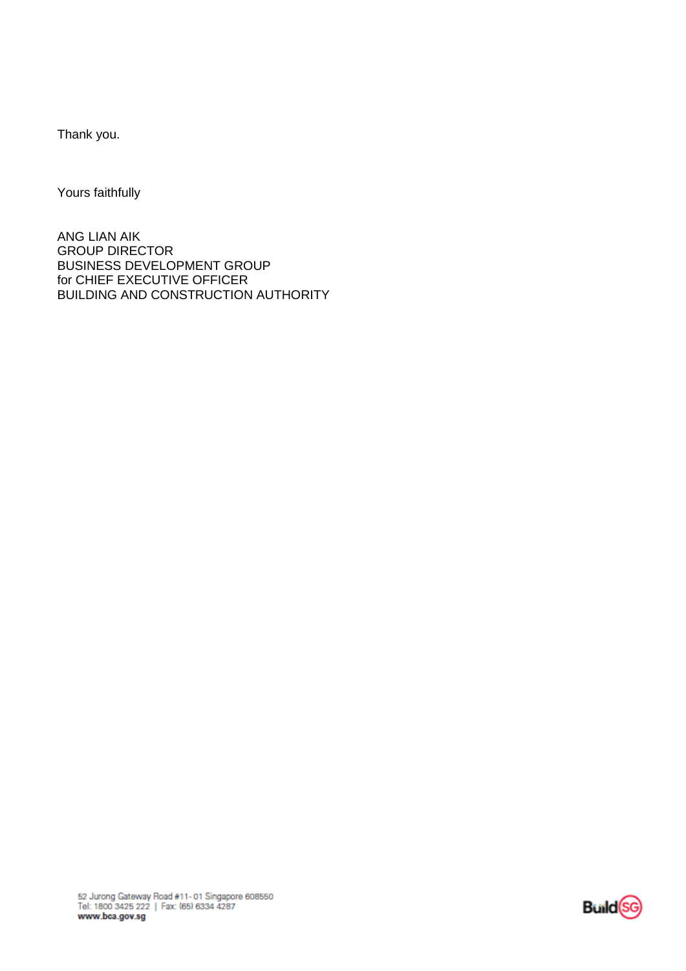Thank you.

Yours faithfully

ANG LIAN AIK GROUP DIRECTOR BUSINESS DEVELOPMENT GROUP for CHIEF EXECUTIVE OFFICER BUILDING AND CONSTRUCTION AUTHORITY